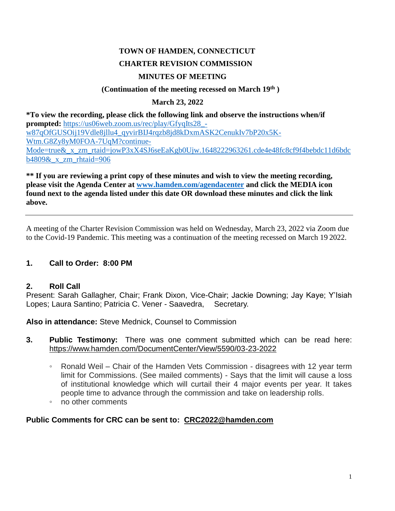# **TOWN OF HAMDEN, CONNECTICUT CHARTER REVISION COMMISSION MINUTES OF MEETING**

#### **(Continuation of the meeting recessed on March 19th )**

### **March 23, 2022**

**\*To view the recording, please click the following link and observe the instructions when/if prompted:** [https://us06web.zoom.us/rec/play/GfyqIts28\\_](https://us06web.zoom.us/rec/play/GfyqIts28_-w87qOfGUSOij19Vdle8jllu4_qyvirBIJ4rqzb8jd8kDxmASK2CenukIv7bP20x5K-Wtm.G8Zy8yM0FOA-7UqM?continueMode=true&_x_zm_rtaid=jowP3xX4SJ6seEaKgb0Ujw.1648222963261.cde4e48fc8cf9f4bebdc11d6bdcb4809&_x_zm_rhtaid=906) [w87qOfGUSOij19Vdle8jllu4\\_qyvirBIJ4rqzb8jd8kDxmASK2CenukIv7bP20x5K-](https://us06web.zoom.us/rec/play/GfyqIts28_-w87qOfGUSOij19Vdle8jllu4_qyvirBIJ4rqzb8jd8kDxmASK2CenukIv7bP20x5K-Wtm.G8Zy8yM0FOA-7UqM?continueMode=true&_x_zm_rtaid=jowP3xX4SJ6seEaKgb0Ujw.1648222963261.cde4e48fc8cf9f4bebdc11d6bdcb4809&_x_zm_rhtaid=906)[Wtm.G8Zy8yM0FOA-7UqM?continue-](https://us06web.zoom.us/rec/play/GfyqIts28_-w87qOfGUSOij19Vdle8jllu4_qyvirBIJ4rqzb8jd8kDxmASK2CenukIv7bP20x5K-Wtm.G8Zy8yM0FOA-7UqM?continueMode=true&_x_zm_rtaid=jowP3xX4SJ6seEaKgb0Ujw.1648222963261.cde4e48fc8cf9f4bebdc11d6bdcb4809&_x_zm_rhtaid=906)Mode=true& x\_zm\_rtaid=jowP3xX4SJ6seEaKgb0Ujw.1648222963261.cde4e48fc8cf9f4bebdc11d6bdc  $b4809\&$  x zm rhtaid=906

#### **\*\* If you are reviewing a print copy of these minutes and wish to view the meeting recording, please visit the Agenda Center at [www.hamden.com/agendacenter](http://www.hamden.com/agendacenter) and click the MEDIA icon found next to the agenda listed under this date OR download these minutes and click the link above.**

A meeting of the Charter Revision Commission was held on Wednesday, March 23, 2022 via Zoom due to the Covid-19 Pandemic. This meeting was a continuation of the meeting recessed on March 19 2022.

#### **1. Call to Order: 8:00 PM**

#### **2. Roll Call**

Present: Sarah Gallagher, Chair; Frank Dixon, Vice-Chair; Jackie Downing; Jay Kaye; Y'Isiah Lopes; Laura Santino; Patricia C. Vener - Saavedra, Secretary.

**Also in attendance:** Steve Mednick, Counsel to Commission

- **3. Public Testimony:** There was one comment submitted which can be read here: https://www.hamden.com/DocumentCenter/View/5590/03-23-2022
	- Ronald Weil Chair of the Hamden Vets Commission disagrees with 12 year term limit for Commissions. (See mailed comments) - Says that the limit will cause a loss of institutional knowledge which will curtail their 4 major events per year. It takes people time to advance through the commission and take on leadership rolls.
	- no other comments

#### **Public Comments for CRC can be sent to: [CRC2022@hamden.com](mailto:CRC2022@hamden.com)**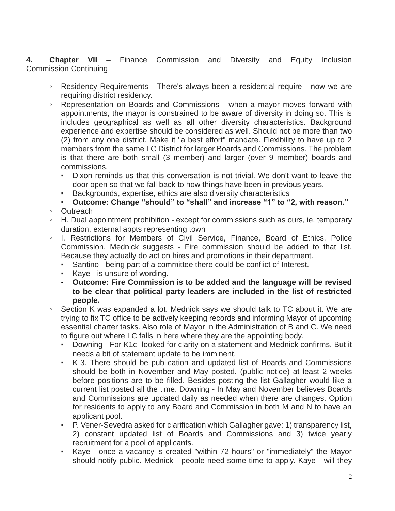**4. Chapter VII** – Finance Commission and Diversity and Equity Inclusion Commission Continuing-

- Residency Requirements There's always been a residential require now we are requiring district residency.
- Representation on Boards and Commissions when a mayor moves forward with appointments, the mayor is constrained to be aware of diversity in doing so. This is includes geographical as well as all other diversity characteristics. Background experience and expertise should be considered as well. Should not be more than two (2) from any one district. Make it "a best effort" mandate. Flexibility to have up to 2 members from the same LC District for larger Boards and Commissions. The problem is that there are both small (3 member) and larger (over 9 member) boards and commissions.
	- Dixon reminds us that this conversation is not trivial. We don't want to leave the door open so that we fall back to how things have been in previous years.
	- Backgrounds, expertise, ethics are also diversity characteristics
	- **Outcome: Change "should" to "shall" and increase "1" to "2, with reason."**
- Outreach
- H. Dual appointment prohibition except for commissions such as ours, ie, temporary duration, external appts representing town
- I. Restrictions for Members of Civil Service, Finance, Board of Ethics, Police Commission. Mednick suggests - Fire commission should be added to that list. Because they actually do act on hires and promotions in their department.
	- Santino being part of a committee there could be conflict of Interest.
	- Kaye is unsure of wording.
	- **Outcome: Fire Commission is to be added and the language will be revised to be clear that political party leaders are included in the list of restricted people.**
- Section K was expanded a lot. Mednick says we should talk to TC about it. We are trying to fix TC office to be actively keeping records and informing Mayor of upcoming essential charter tasks. Also role of Mayor in the Administration of B and C. We need to figure out where LC falls in here where they are the appointing body.
	- Downing For K1c -looked for clarity on a statement and Mednick confirms. But it needs a bit of statement update to be imminent.
	- K-3. There should be publication and updated list of Boards and Commissions should be both in November and May posted. (public notice) at least 2 weeks before positions are to be filled. Besides posting the list Gallagher would like a current list posted all the time. Downing - In May and November believes Boards and Commissions are updated daily as needed when there are changes. Option for residents to apply to any Board and Commission in both M and N to have an applicant pool.
	- P. Vener-Sevedra asked for clarification which Gallagher gave: 1) transparency list, 2) constant updated list of Boards and Commissions and 3) twice yearly recruitment for a pool of applicants.
	- Kaye once a vacancy is created "within 72 hours" or "immediately" the Mayor should notify public. Mednick - people need some time to apply. Kaye - will they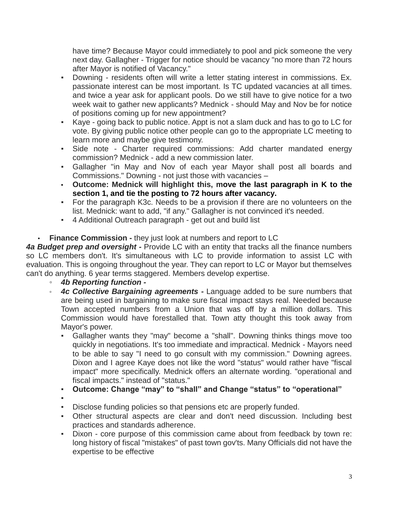have time? Because Mayor could immediately to pool and pick someone the very next day. Gallagher - Trigger for notice should be vacancy "no more than 72 hours after Mayor is notified of Vacancy."

- Downing residents often will write a letter stating interest in commissions. Ex. passionate interest can be most important. Is TC updated vacancies at all times. and twice a year ask for applicant pools. Do we still have to give notice for a two week wait to gather new applicants? Mednick - should May and Nov be for notice of positions coming up for new appointment?
- Kaye going back to public notice. Appt is not a slam duck and has to go to LC for vote. By giving public notice other people can go to the appropriate LC meeting to learn more and maybe give testimony.
- Side note Charter required commissions: Add charter mandated energy commission? Mednick - add a new commission later.
- Gallagher "in May and Nov of each year Mayor shall post all boards and Commissions." Downing - not just those with vacancies –
- **Outcome: Mednick will highlight this, move the last paragraph in K to the section 1, and tie the posting to 72 hours after vacancy.**
- For the paragraph K3c. Needs to be a provision if there are no volunteers on the list. Mednick: want to add, "if any." Gallagher is not convinced it's needed.
- 4 Additional Outreach paragraph get out and build list

# • **Finance Commission -** they just look at numbers and report to LC

4a Budget prep and oversight - Provide LC with an entity that tracks all the finance numbers so LC members don't. It's simultaneous with LC to provide information to assist LC with evaluation. This is ongoing throughout the year. They can report to LC or Mayor but themselves can't do anything. 6 year terms staggered. Members develop expertise.

## ◦ *4b Reporting function -*

- *4c Collective Bargaining agreements -* Language added to be sure numbers that are being used in bargaining to make sure fiscal impact stays real. Needed because Town accepted numbers from a Union that was off by a million dollars. This Commission would have forestalled that. Town atty thought this took away from Mayor's power.
	- Gallagher wants they "may" become a "shall". Downing thinks things move too quickly in negotiations. It's too immediate and impractical. Mednick - Mayors need to be able to say "I need to go consult with my commission." Downing agrees. Dixon and I agree Kaye does not like the word "status" would rather have "fiscal impact" more specifically. Mednick offers an alternate wording. "operational and fiscal impacts." instead of "status."
	- **Outcome: Change "may" to "shall" and Change "status" to "operational"**
	- ▪
	- Disclose funding policies so that pensions etc are properly funded.
	- Other structural aspects are clear and don't need discussion. Including best practices and standards adherence.
	- Dixon core purpose of this commission came about from feedback by town re: long history of fiscal "mistakes" of past town gov'ts. Many Officials did not have the expertise to be effective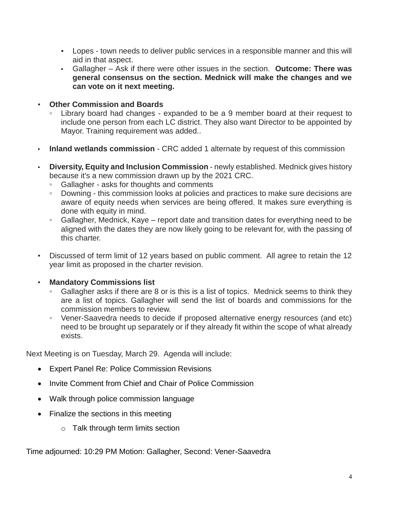- Lopes town needs to deliver public services in a responsible manner and this will aid in that aspect.
- Gallagher Ask if there were other issues in the section. **Outcome: There was general consensus on the section. Mednick will make the changes and we can vote on it next meeting.**
- **Other Commission and Boards**
	- Library board had changes expanded to be a 9 member board at their request to include one person from each LC district. They also want Director to be appointed by Mayor. Training requirement was added..
- **Inland wetlands commission**  CRC added 1 alternate by request of this commission
- **Diversity, Equity and Inclusion Commission** newly established. Mednick gives history because it's a new commission drawn up by the 2021 CRC.
	- Gallagher asks for thoughts and comments
	- Downing this commission looks at policies and practices to make sure decisions are aware of equity needs when services are being offered. It makes sure everything is done with equity in mind.
	- Gallagher, Mednick, Kaye report date and transition dates for everything need to be aligned with the dates they are now likely going to be relevant for, with the passing of this charter.
- Discussed of term limit of 12 years based on public comment. All agree to retain the 12 year limit as proposed in the charter revision.
- **Mandatory Commissions list**
	- Gallagher asks if there are 8 or is this is a list of topics. Mednick seems to think they are a list of topics. Gallagher will send the list of boards and commissions for the commission members to review.
	- Vener-Saavedra needs to decide if proposed alternative energy resources (and etc) need to be brought up separately or if they already fit within the scope of what already exists.

Next Meeting is on Tuesday, March 29. Agenda will include:

- Expert Panel Re: Police Commission Revisions
- Invite Comment from Chief and Chair of Police Commission
- Walk through police commission language
- Finalize the sections in this meeting
	- o Talk through term limits section

Time adjourned: 10:29 PM Motion: Gallagher, Second: Vener-Saavedra